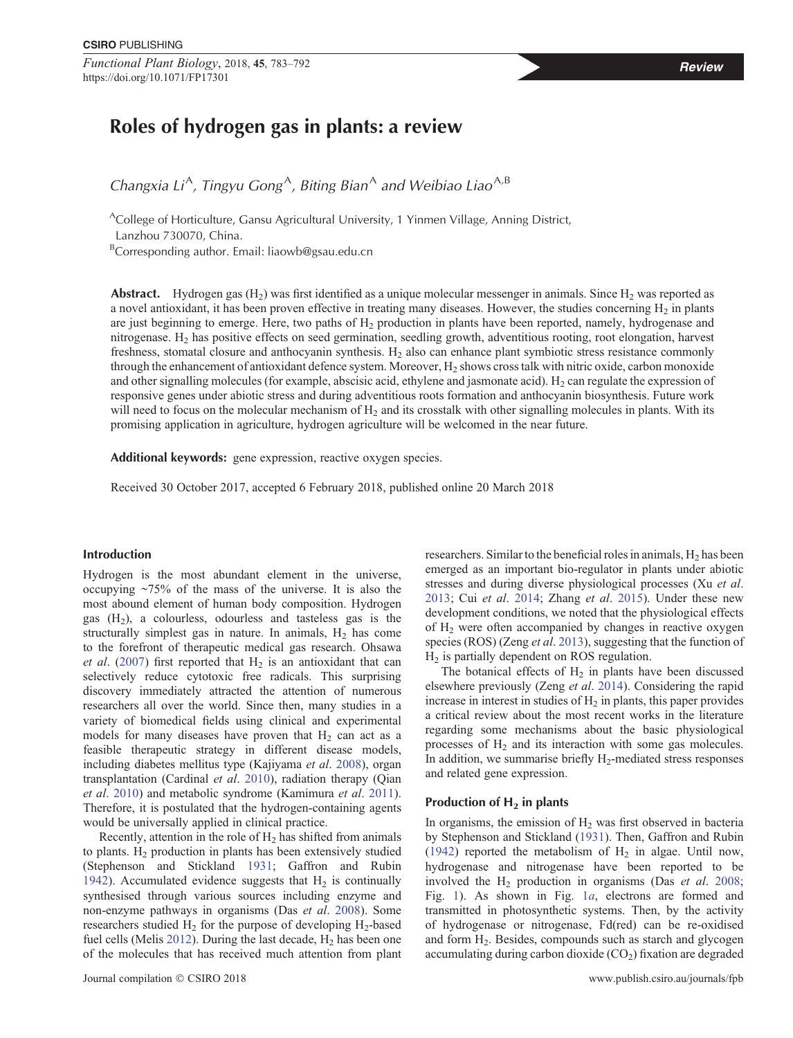*Functional Plant Biology*, 2018, 45, 783–792 **Review** https://doi.org/10.1071/FP17301

*Changxia Li<sup>A</sup>*, *Tingyu Gong*<sup>A</sup>, *Biting Bian*<sup>A</sup> *and Weibiao Liao*<sup>A,B</sup>

<sup>A</sup>College of Horticulture, Gansu Agricultural University, 1 Yinmen Village, Anning District, Lanzhou 730070, China.

<sup>B</sup>Corresponding author. Email: [liaowb@gsau.edu.cn](mailto:liaowb@gsau.edu.cn)

**Abstract.** Hydrogen gas  $(H_2)$  was first identified as a unique molecular messenger in animals. Since  $H_2$  was reported as a novel antioxidant, it has been proven effective in treating many diseases. However, the studies concerning  $H_2$  in plants are just beginning to emerge. Here, two paths of H<sub>2</sub> production in plants have been reported, namely, hydrogenase and nitrogenase. H2 has positive effects on seed germination, seedling growth, adventitious rooting, root elongation, harvest freshness, stomatal closure and anthocyanin synthesis.  $H_2$  also can enhance plant symbiotic stress resistance commonly through the enhancement of antioxidant defence system. Moreover, H<sub>2</sub> shows cross talk with nitric oxide, carbon monoxide and other signalling molecules (for example, abscisic acid, ethylene and jasmonate acid).  $H_2$  can regulate the expression of responsive genes under abiotic stress and during adventitious roots formation and anthocyanin biosynthesis. Future work will need to focus on the molecular mechanism of  $H_2$  and its crosstalk with other signalling molecules in plants. With its promising application in agriculture, hydrogen agriculture will be welcomed in the near future.

**Additional keywords:** gene expression, reactive oxygen species.

Received 30 October 2017, accepted 6 February 2018, published online 20 March 2018

# **Introduction**

Hydrogen is the most abundant element in the universe, occupying ~75% of the mass of the universe. It is also the most abound element of human body composition. Hydrogen gas  $(H<sub>2</sub>)$ , a colourless, odourless and tasteless gas is the structurally simplest gas in nature. In animals,  $H_2$  has come to the forefront of therapeutic medical gas research. Ohsawa *et al.* ([2007\)](#page-8-0) first reported that  $H_2$  is an antioxidant that can selectively reduce cytotoxic free radicals. This surprising discovery immediately attracted the attention of numerous researchers all over the world. Since then, many studies in a variety of biomedical fields using clinical and experimental models for many diseases have proven that  $H<sub>2</sub>$  can act as a feasible therapeutic strategy in different disease models, including diabetes mellitus type (Kajiyama *et al*. [2008\)](#page-8-0), organ transplantation (Cardinal *et al*. [2010\)](#page-7-0), radiation therapy (Qian *et al*. [2010](#page-8-0)) and metabolic syndrome (Kamimura *et al*. [2011](#page-8-0)). Therefore, it is postulated that the hydrogen-containing agents would be universally applied in clinical practice.

Recently, attention in the role of  $H_2$  has shifted from animals to plants.  $H_2$  production in plants has been extensively studied (Stephenson and Stickland [1931;](#page-8-0) Gaffron and Rubin [1942](#page-8-0)). Accumulated evidence suggests that  $H_2$  is continually synthesised through various sources including enzyme and non-enzyme pathways in organisms (Das *et al*. [2008\)](#page-8-0). Some researchers studied  $H_2$  for the purpose of developing  $H_2$ -based fuel cells (Melis [2012](#page-8-0)). During the last decade,  $H_2$  has been one of the molecules that has received much attention from plant researchers. Similar to the beneficial roles in animals,  $H_2$  has been emerged as an important bio-regulator in plants under abiotic stresses and during diverse physiological processes (Xu *et al*. [2013](#page-8-0); Cui *et al*. [2014](#page-8-0); Zhang *et al*. [2015\)](#page-9-0). Under these new development conditions, we noted that the physiological effects of H2 were often accompanied by changes in reactive oxygen species (ROS) (Zeng *et al*. [2013](#page-9-0)), suggesting that the function of  $H<sub>2</sub>$  is partially dependent on ROS regulation.

The botanical effects of  $H_2$  in plants have been discussed elsewhere previously (Zeng *et al*. [2014](#page-9-0)). Considering the rapid increase in interest in studies of  $H_2$  in plants, this paper provides a critical review about the most recent works in the literature regarding some mechanisms about the basic physiological processes of  $H_2$  and its interaction with some gas molecules. In addition, we summarise briefly  $H_2$ -mediated stress responses and related gene expression.

## **Production of H<sub>2</sub> in plants**

In organisms, the emission of  $H_2$  was first observed in bacteria by Stephenson and Stickland [\(1931](#page-8-0)). Then, Gaffron and Rubin [\(1942](#page-8-0)) reported the metabolism of  $H_2$  in algae. Until now, hydrogenase and nitrogenase have been reported to be involved the H2 production in organisms (Das *et al*. [2008;](#page-8-0) Fig. [1\)](#page-1-0). As shown in Fig. [1](#page-1-0)*a*, electrons are formed and transmitted in photosynthetic systems. Then, by the activity of hydrogenase or nitrogenase, Fd(red) can be re-oxidised and form H<sub>2</sub>. Besides, compounds such as starch and glycogen accumulating during carbon dioxide  $(CO<sub>2</sub>)$  fixation are degraded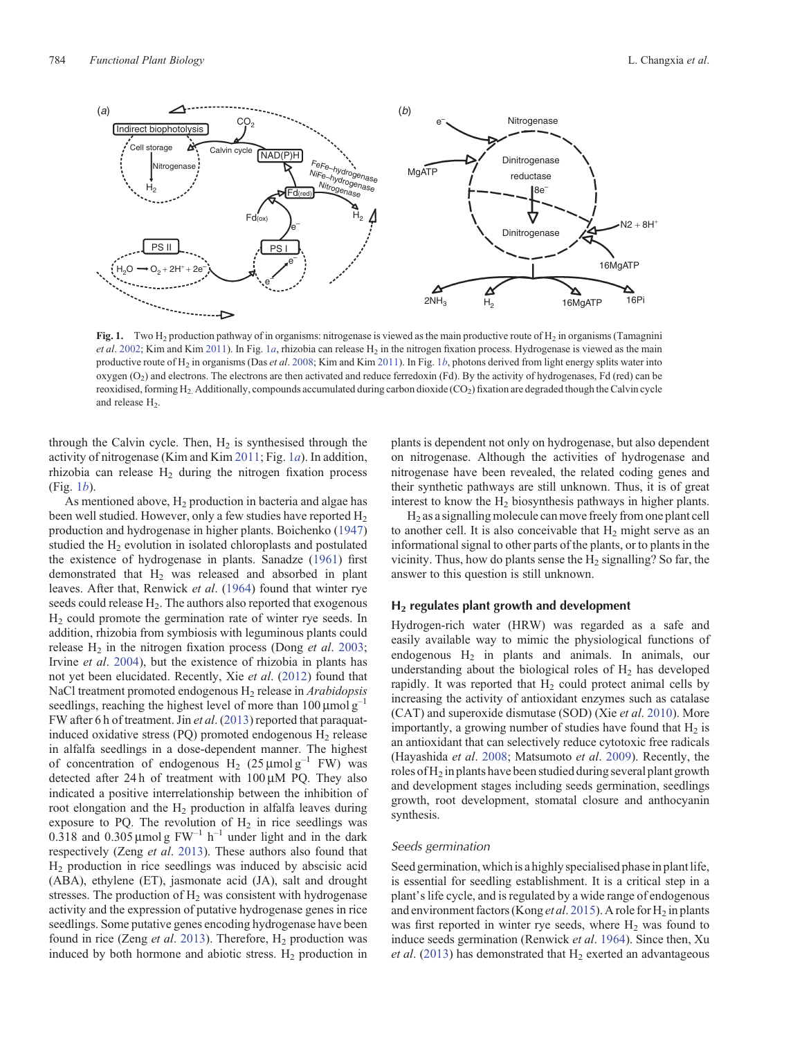<span id="page-1-0"></span>

**Fig. 1.** Two H<sub>2</sub> production pathway of in organisms: nitrogenase is viewed as the main productive route of H<sub>2</sub> in organisms (Tamagnini) *et al.* [2002;](#page-8-0) Kim and Kim [2011](#page-8-0)). In Fig. 1*a*, rhizobia can release H<sub>2</sub> in the nitrogen fixation process. Hydrogenase is viewed as the main productive route of H2 in organisms (Das *et al*. [2008](#page-8-0); Kim and Kim [2011\)](#page-8-0). In Fig. 1*b*, photons derived from light energy splits water into oxygen  $(O_2)$  and electrons. The electrons are then activated and reduce ferredoxin (Fd). By the activity of hydrogenases, Fd (red) can be reoxidised, forming H<sub>2</sub>. Additionally, compounds accumulated during carbon dioxide (CO<sub>2</sub>) fixation are degraded though the Calvin cycle and release H<sub>2</sub>.

through the Calvin cycle. Then,  $H_2$  is synthesised through the activity of nitrogenase (Kim and Kim [2011](#page-8-0); Fig. 1*a*). In addition, rhizobia can release  $H_2$  during the nitrogen fixation process (Fig. 1*b*).

As mentioned above,  $H_2$  production in bacteria and algae has been well studied. However, only a few studies have reported  $H_2$ production and hydrogenase in higher plants. Boichenko ([1947\)](#page-7-0) studied the  $H_2$  evolution in isolated chloroplasts and postulated the existence of hydrogenase in plants. Sanadze [\(1961\)](#page-8-0) first demonstrated that  $H_2$  was released and absorbed in plant leaves. After that, Renwick *et al*. ([1964\)](#page-8-0) found that winter rye seeds could release  $H_2$ . The authors also reported that exogenous  $H<sub>2</sub>$  could promote the germination rate of winter rye seeds. In addition, rhizobia from symbiosis with leguminous plants could release H<sub>2</sub> in the nitrogen fixation process (Dong *et al.* [2003](#page-8-0); Irvine *et al*. [2004](#page-8-0)), but the existence of rhizobia in plants has not yet been elucidated. Recently, Xie *et al*. ([2012\)](#page-8-0) found that NaCl treatment promoted endogenous H2 release in *Arabidopsis* seedlings, reaching the highest level of more than  $100 \mu$ mol g<sup>-1</sup> FW after 6 h of treatment. Jin *et al*. [\(2013](#page-8-0)) reported that paraquatinduced oxidative stress (PQ) promoted endogenous  $H_2$  release in alfalfa seedlings in a dose-dependent manner. The highest of concentration of endogenous H<sub>2</sub> (25  $\mu$ mol g<sup>-1</sup> FW) was detected after 24 h of treatment with  $100 \mu M$  PQ. They also indicated a positive interrelationship between the inhibition of root elongation and the  $H_2$  production in alfalfa leaves during exposure to PQ. The revolution of  $H_2$  in rice seedlings was 0.318 and 0.305  $\mu$ mol g FW<sup>-1</sup> h<sup>-1</sup> under light and in the dark respectively (Zeng *et al*. [2013\)](#page-9-0). These authors also found that H2 production in rice seedlings was induced by abscisic acid (ABA), ethylene (ET), jasmonate acid (JA), salt and drought stresses. The production of  $H_2$  was consistent with hydrogenase activity and the expression of putative hydrogenase genes in rice seedlings. Some putative genes encoding hydrogenase have been found in rice (Zeng *et al.* [2013](#page-9-0)). Therefore, H<sub>2</sub> production was induced by both hormone and abiotic stress.  $H_2$  production in plants is dependent not only on hydrogenase, but also dependent on nitrogenase. Although the activities of hydrogenase and nitrogenase have been revealed, the related coding genes and their synthetic pathways are still unknown. Thus, it is of great interest to know the  $H<sub>2</sub>$  biosynthesis pathways in higher plants.

 $H<sub>2</sub>$  as a signalling molecule can move freely from one plant cell to another cell. It is also conceivable that  $H_2$  might serve as an informational signal to other parts of the plants, or to plants in the vicinity. Thus, how do plants sense the  $H_2$  signalling? So far, the answer to this question is still unknown.

#### **H2 regulates plant growth and development**

Hydrogen-rich water (HRW) was regarded as a safe and easily available way to mimic the physiological functions of endogenous  $H_2$  in plants and animals. In animals, our understanding about the biological roles of  $H_2$  has developed rapidly. It was reported that  $H_2$  could protect animal cells by increasing the activity of antioxidant enzymes such as catalase (CAT) and superoxide dismutase (SOD) (Xie *et al*. [2010](#page-8-0)). More importantly, a growing number of studies have found that  $H_2$  is an antioxidant that can selectively reduce cytotoxic free radicals (Hayashida *et al*. [2008](#page-8-0); Matsumoto *et al*. [2009](#page-8-0)). Recently, the roles of  $H_2$  in plants have been studied during several plant growth and development stages including seeds germination, seedlings growth, root development, stomatal closure and anthocyanin synthesis.

### *Seeds germination*

Seed germination, which is a highly specialised phase in plant life, is essential for seedling establishment. It is a critical step in a plant's life cycle, and is regulated by a wide range of endogenous and environment factors (Kong *et al.* [2015](#page-8-0)). A role for H<sub>2</sub> in plants was first reported in winter rye seeds, where  $H_2$  was found to induce seeds germination (Renwick *et al*. [1964\)](#page-8-0). Since then, Xu  $et al.$  [\(2013](#page-8-0)) has demonstrated that  $H<sub>2</sub>$  exerted an advantageous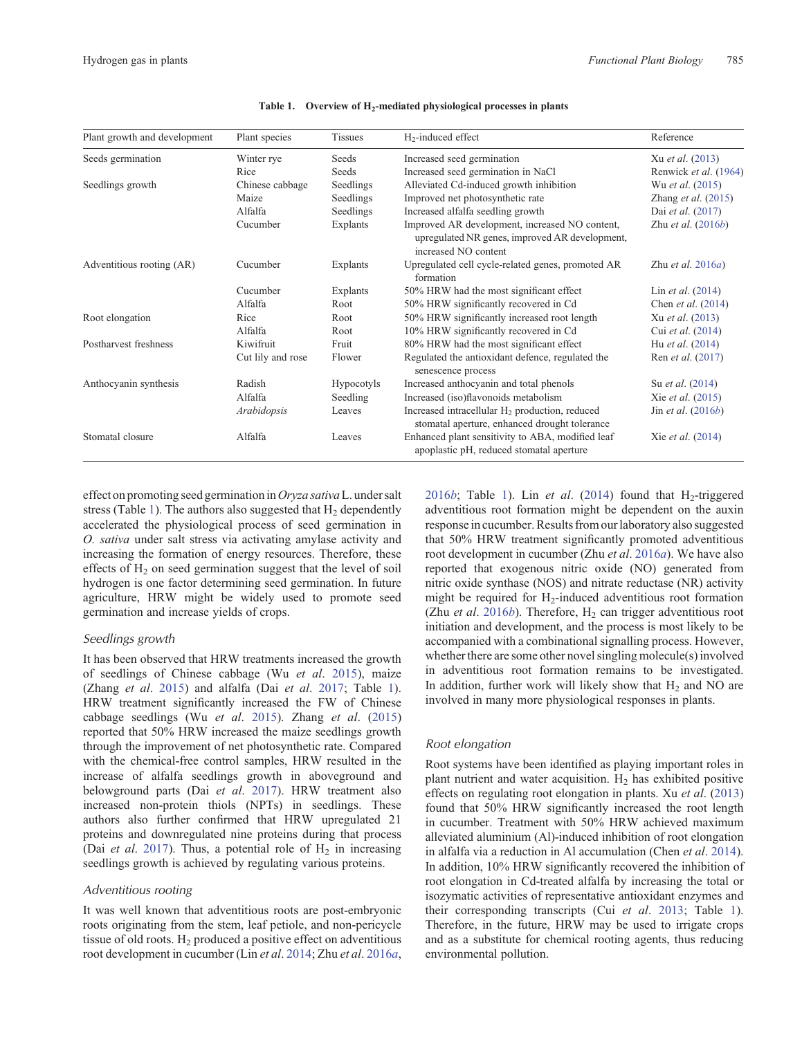<span id="page-2-0"></span>

| Plant growth and development | Plant species     | <b>Tissues</b>    | $H_2$ -induced effect                                                                                                    | Reference                    |
|------------------------------|-------------------|-------------------|--------------------------------------------------------------------------------------------------------------------------|------------------------------|
| Seeds germination            | Winter rye        | Seeds             | Increased seed germination                                                                                               | Xu et al. (2013)             |
|                              | Rice              | Seeds             | Increased seed germination in NaCl                                                                                       | Renwick et al. (1964)        |
| Seedlings growth             | Chinese cabbage   | Seedlings         | Alleviated Cd-induced growth inhibition                                                                                  | Wu et al. (2015)             |
|                              | Maize             | Seedlings         | Improved net photosynthetic rate                                                                                         | Zhang <i>et al.</i> $(2015)$ |
|                              | Alfalfa           | Seedlings         | Increased alfalfa seedling growth                                                                                        | Dai et al. (2017)            |
|                              | Cucumber          | Explants          | Improved AR development, increased NO content,<br>upregulated NR genes, improved AR development,<br>increased NO content | Zhu et al. $(2016b)$         |
| Adventitious rooting (AR)    | Cucumber          | Explants          | Upregulated cell cycle-related genes, promoted AR<br>formation                                                           | Zhu et al. $2016a$ )         |
|                              | Cucumber          | Explants          | 50% HRW had the most significant effect                                                                                  | Lin <i>et al.</i> $(2014)$   |
|                              | Alfalfa           | Root              | 50% HRW significantly recovered in Cd                                                                                    | Chen et al. (2014)           |
| Root elongation              | Rice              | Root              | 50% HRW significantly increased root length                                                                              | Xu et al. (2013)             |
|                              | Alfalfa           | Root              | 10% HRW significantly recovered in Cd                                                                                    | Cui et al. (2014)            |
| Postharvest freshness        | Kiwifruit         | Fruit             | 80% HRW had the most significant effect                                                                                  | Hu <i>et al.</i> (2014)      |
|                              | Cut lily and rose | Flower            | Regulated the antioxidant defence, regulated the<br>senescence process                                                   | Ren et al. (2017)            |
| Anthocyanin synthesis        | Radish            | <b>Hypocotyls</b> | Increased anthocyanin and total phenols                                                                                  | Su <i>et al.</i> (2014)      |
|                              | Alfalfa           | Seedling          | Increased (iso)flavonoids metabolism                                                                                     | Xie <i>et al.</i> (2015)     |
|                              | Arabidopsis       | Leaves            | Increased intracellular H <sub>2</sub> production, reduced<br>stomatal aperture, enhanced drought tolerance              | Jin <i>et al.</i> $(2016b)$  |
| Stomatal closure             | Alfalfa           | Leaves            | Enhanced plant sensitivity to ABA, modified leaf<br>apoplastic pH, reduced stomatal aperture                             | Xie <i>et al.</i> (2014)     |

Table 1. Overview of H<sub>2</sub>-mediated physiological processes in plants

effect on promoting seed germination in*Oryza sativa*L. under salt stress (Table 1). The authors also suggested that  $H_2$  dependently accelerated the physiological process of seed germination in *O. sativa* under salt stress via activating amylase activity and increasing the formation of energy resources. Therefore, these effects of  $H_2$  on seed germination suggest that the level of soil hydrogen is one factor determining seed germination. In future agriculture, HRW might be widely used to promote seed germination and increase yields of crops.

# *Seedlings growth*

It has been observed that HRW treatments increased the growth of seedlings of Chinese cabbage (Wu *et al*. [2015](#page-8-0)), maize (Zhang *et al*. [2015\)](#page-9-0) and alfalfa (Dai *et al*. [2017](#page-8-0); Table 1). HRW treatment significantly increased the FW of Chinese cabbage seedlings (Wu *et al*. [2015](#page-8-0)). Zhang *et al*. [\(2015](#page-9-0)) reported that 50% HRW increased the maize seedlings growth through the improvement of net photosynthetic rate. Compared with the chemical-free control samples, HRW resulted in the increase of alfalfa seedlings growth in aboveground and belowground parts (Dai *et al*. [2017](#page-8-0)). HRW treatment also increased non-protein thiols (NPTs) in seedlings. These authors also further confirmed that HRW upregulated 21 proteins and downregulated nine proteins during that process (Dai *et al.* [2017\)](#page-8-0). Thus, a potential role of  $H_2$  in increasing seedlings growth is achieved by regulating various proteins.

#### *Adventitious rooting*

It was well known that adventitious roots are post-embryonic roots originating from the stem, leaf petiole, and non-pericycle tissue of old roots.  $H_2$  produced a positive effect on adventitious root development in cucumber (Lin *et al*. [2014](#page-8-0); Zhu *et al*. [2016](#page-9-0)*a*,

[2016](#page-9-0)*b*; Table 1). Lin *et al.* ([2014\)](#page-8-0) found that  $H_2$ -triggered adventitious root formation might be dependent on the auxin response in cucumber. Results from our laboratory also suggested that 50% HRW treatment significantly promoted adventitious root development in cucumber (Zhu *et al*. [2016](#page-9-0)*a*). We have also reported that exogenous nitric oxide (NO) generated from nitric oxide synthase (NOS) and nitrate reductase (NR) activity might be required for  $H_2$ -induced adventitious root formation (Zhu *et al.* [2016](#page-9-0)*b*). Therefore,  $H_2$  can trigger adventitious root initiation and development, and the process is most likely to be accompanied with a combinational signalling process. However, whether there are some other novel singling molecule(s) involved in adventitious root formation remains to be investigated. In addition, further work will likely show that  $H<sub>2</sub>$  and NO are involved in many more physiological responses in plants.

#### *Root elongation*

Root systems have been identified as playing important roles in plant nutrient and water acquisition.  $H_2$  has exhibited positive effects on regulating root elongation in plants. Xu *et al*. ([2013](#page-8-0)) found that 50% HRW significantly increased the root length in cucumber. Treatment with 50% HRW achieved maximum alleviated aluminium (Al)-induced inhibition of root elongation in alfalfa via a reduction in Al accumulation (Chen *et al*. [2014](#page-7-0)). In addition, 10% HRW significantly recovered the inhibition of root elongation in Cd-treated alfalfa by increasing the total or isozymatic activities of representative antioxidant enzymes and their corresponding transcripts (Cui *et al*. [2013;](#page-8-0) Table 1). Therefore, in the future, HRW may be used to irrigate crops and as a substitute for chemical rooting agents, thus reducing environmental pollution.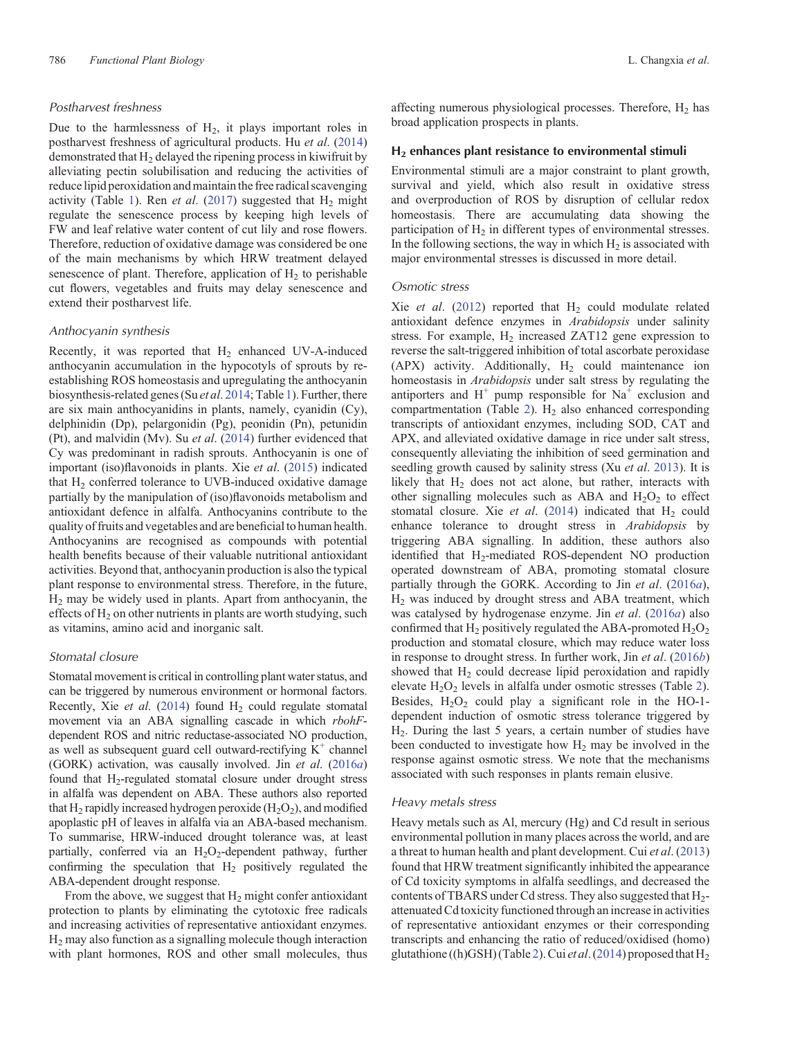# *Postharvest freshness*

Due to the harmlessness of  $H_2$ , it plays important roles in postharvest freshness of agricultural products. Hu *et al*. ([2014\)](#page-8-0) demonstrated that  $H_2$  delayed the ripening process in kiwifruit by alleviating pectin solubilisation and reducing the activities of reduce lipid peroxidation and maintain the free radical scavenging activity (Table [1](#page-2-0)). Ren *et al.* ([2017\)](#page-8-0) suggested that  $H_2$  might regulate the senescence process by keeping high levels of FW and leaf relative water content of cut lily and rose flowers. Therefore, reduction of oxidative damage was considered be one of the main mechanisms by which HRW treatment delayed senescence of plant. Therefore, application of  $H<sub>2</sub>$  to perishable cut flowers, vegetables and fruits may delay senescence and extend their postharvest life.

### *Anthocyanin synthesis*

Recently, it was reported that  $H_2$  enhanced UV-A-induced anthocyanin accumulation in the hypocotyls of sprouts by reestablishing ROS homeostasis and upregulating the anthocyanin biosynthesis-related genes (Su *et al*. [2014;](#page-8-0) Table [1](#page-2-0)). Further, there are six main anthocyanidins in plants, namely, cyanidin (Cy), delphinidin (Dp), pelargonidin (Pg), peonidin (Pn), petunidin (Pt), and malvidin (Mv). Su *et al*. ([2014\)](#page-8-0) further evidenced that Cy was predominant in radish sprouts. Anthocyanin is one of important (iso)flavonoids in plants. Xie *et al*. [\(2015](#page-8-0)) indicated that  $H<sub>2</sub>$  conferred tolerance to UVB-induced oxidative damage partially by the manipulation of (iso)flavonoids metabolism and antioxidant defence in alfalfa. Anthocyanins contribute to the quality of fruits and vegetables and are beneficial to human health. Anthocyanins are recognised as compounds with potential health benefits because of their valuable nutritional antioxidant activities. Beyond that, anthocyanin production is also the typical plant response to environmental stress. Therefore, in the future,  $H<sub>2</sub>$  may be widely used in plants. Apart from anthocyanin, the effects of  $H_2$  on other nutrients in plants are worth studying, such as vitamins, amino acid and inorganic salt.

### *Stomatal closure*

Stomatal movement is critical in controlling plant water status, and can be triggered by numerous environment or hormonal factors. Recently, Xie et al. ([2014](#page-8-0)) found H<sub>2</sub> could regulate stomatal movement via an ABA signalling cascade in which *rbohF*dependent ROS and nitric reductase-associated NO production, as well as subsequent guard cell outward-rectifying  $K^+$  channel (GORK) activation, was causally involved. Jin *et al*. ([2016](#page-8-0)*a*) found that H<sub>2</sub>-regulated stomatal closure under drought stress in alfalfa was dependent on ABA. These authors also reported that  $H_2$  rapidly increased hydrogen peroxide ( $H_2O_2$ ), and modified apoplastic pH of leaves in alfalfa via an ABA-based mechanism. To summarise, HRW-induced drought tolerance was, at least partially, conferred via an  $H_2O_2$ -dependent pathway, further confirming the speculation that  $H_2$  positively regulated the ABA-dependent drought response.

From the above, we suggest that  $H_2$  might confer antioxidant protection to plants by eliminating the cytotoxic free radicals and increasing activities of representative antioxidant enzymes. H2 may also function as a signalling molecule though interaction with plant hormones, ROS and other small molecules, thus affecting numerous physiological processes. Therefore,  $H_2$  has broad application prospects in plants.

#### **H2 enhances plant resistance to environmental stimuli**

Environmental stimuli are a major constraint to plant growth, survival and yield, which also result in oxidative stress and overproduction of ROS by disruption of cellular redox homeostasis. There are accumulating data showing the participation of  $H_2$  in different types of environmental stresses. In the following sections, the way in which  $H_2$  is associated with major environmental stresses is discussed in more detail.

## *Osmotic stress*

Xie *et al.* ([2012\)](#page-8-0) reported that  $H<sub>2</sub>$  could modulate related antioxidant defence enzymes in *Arabidopsis* under salinity stress. For example,  $H_2$  increased ZAT12 gene expression to reverse the salt-triggered inhibition of total ascorbate peroxidase (APX) activity. Additionally,  $H<sub>2</sub>$  could maintenance ion homeostasis in *Arabidopsis* under salt stress by regulating the antiporters and  $H^+$  pump responsible for  $Na^+$  exclusion and compartmentation (Table [2](#page-4-0)).  $H_2$  also enhanced corresponding transcripts of antioxidant enzymes, including SOD, CAT and APX, and alleviated oxidative damage in rice under salt stress, consequently alleviating the inhibition of seed germination and seedling growth caused by salinity stress (Xu *et al*. [2013](#page-8-0)). It is likely that  $H_2$  does not act alone, but rather, interacts with other signalling molecules such as ABA and  $H_2O_2$  to effect stomatal closure. Xie *et al.* ([2014\)](#page-8-0) indicated that  $H_2$  could enhance tolerance to drought stress in *Arabidopsis* by triggering ABA signalling. In addition, these authors also identified that H<sub>2</sub>-mediated ROS-dependent NO production operated downstream of ABA, promoting stomatal closure partially through the GORK. According to Jin *et al*. ([2016](#page-8-0)*a*), H2 was induced by drought stress and ABA treatment, which was catalysed by hydrogenase enzyme. Jin *et al*. ([2016](#page-8-0)*a*) also confirmed that  $H_2$  positively regulated the ABA-promoted  $H_2O_2$ production and stomatal closure, which may reduce water loss in response to drought stress. In further work, Jin *et al*. [\(2016](#page-8-0)*b*) showed that  $H_2$  could decrease lipid peroxidation and rapidly elevate  $H_2O_2$  $H_2O_2$  $H_2O_2$  levels in alfalfa under osmotic stresses (Table 2). Besides,  $H_2O_2$  could play a significant role in the HO-1dependent induction of osmotic stress tolerance triggered by H2. During the last 5 years, a certain number of studies have been conducted to investigate how H<sub>2</sub> may be involved in the response against osmotic stress. We note that the mechanisms associated with such responses in plants remain elusive.

## *Heavy metals stress*

Heavy metals such as Al, mercury (Hg) and Cd result in serious environmental pollution in many places across the world, and are a threat to human health and plant development. Cui *et al*. ([2013\)](#page-8-0) found that HRW treatment significantly inhibited the appearance of Cd toxicity symptoms in alfalfa seedlings, and decreased the contents of TBARS under Cd stress. They also suggested that H<sub>2</sub>attenuated Cd toxicity functioned through an increase in activities of representative antioxidant enzymes or their corresponding transcripts and enhancing the ratio of reduced/oxidised (homo) glutathione ((h)GSH) (Table [2\)](#page-4-0). Cui *et al*. [\(2014](#page-8-0)) proposed that H2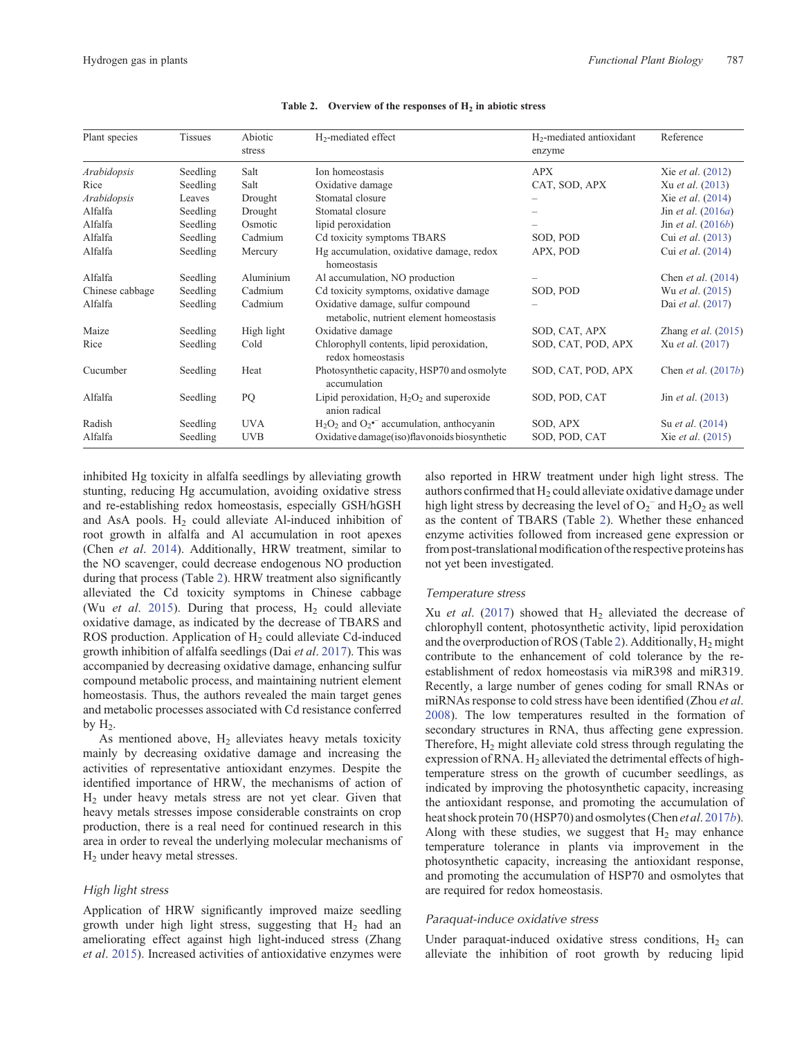<span id="page-4-0"></span>

| Plant species   | <b>Tissues</b> | Abiotic<br>stress | H <sub>2</sub> -mediated effect                                              | $H_2$ -mediated antioxidant<br>enzyme | Reference                 |
|-----------------|----------------|-------------------|------------------------------------------------------------------------------|---------------------------------------|---------------------------|
| Arabidopsis     | Seedling       | Salt              | Ion homeostasis                                                              | <b>APX</b>                            | Xie et al. (2012)         |
| Rice            | Seedling       | Salt              | Oxidative damage                                                             | CAT, SOD, APX                         | Xu et al. (2013)          |
| Arabidopsis     | Leaves         | Drought           | Stomatal closure                                                             |                                       | Xie et al. (2014)         |
| Alfalfa         | Seedling       | Drought           | Stomatal closure                                                             |                                       | Jin et al. $(2016a)$      |
| Alfalfa         | Seedling       | Osmotic           | lipid peroxidation                                                           |                                       | Jin et al. $(2016b)$      |
| Alfalfa         | Seedling       | Cadmium           | Cd toxicity symptoms TBARS                                                   | SOD, POD                              | Cui et al. (2013)         |
| Alfalfa         | Seedling       | Mercury           | Hg accumulation, oxidative damage, redox<br>homeostasis                      | APX, POD                              | Cui et al. (2014)         |
| Alfalfa         | Seedling       | Aluminium         | Al accumulation, NO production                                               |                                       | Chen <i>et al.</i> (2014) |
| Chinese cabbage | Seedling       | Cadmium           | Cd toxicity symptoms, oxidative damage                                       | SOD, POD                              | Wu <i>et al.</i> (2015)   |
| Alfalfa         | Seedling       | Cadmium           | Oxidative damage, sulfur compound<br>metabolic, nutrient element homeostasis |                                       | Dai et al. (2017)         |
| Maize           | Seedling       | High light        | Oxidative damage                                                             | SOD, CAT, APX                         | Zhang et al. $(2015)$     |
| Rice            | Seedling       | Cold              | Chlorophyll contents, lipid peroxidation,<br>redox homeostasis               | SOD, CAT, POD, APX                    | Xu et al. (2017)          |
| Cucumber        | Seedling       | Heat              | Photosynthetic capacity, HSP70 and osmolyte<br>accumulation                  | SOD, CAT, POD, APX                    | Chen et al. $(2017b)$     |
| Alfalfa         | Seedling       | PQ                | Lipid peroxidation, $H_2O_2$ and superoxide<br>anion radical                 | SOD, POD, CAT                         | Jin <i>et al.</i> (2013)  |
| Radish          | Seedling       | <b>UVA</b>        | $H_2O_2$ and $O_2$ <sup>-</sup> accumulation, anthocyanin                    | SOD, APX                              | Su <i>et al.</i> (2014)   |
| Alfalfa         | Seedling       | <b>UVB</b>        | Oxidative damage(iso)flavonoids biosynthetic                                 | SOD, POD, CAT                         | Xie et al. (2015)         |

Table 2. Overview of the responses of  $H_2$  in abiotic stress

inhibited Hg toxicity in alfalfa seedlings by alleviating growth stunting, reducing Hg accumulation, avoiding oxidative stress and re-establishing redox homeostasis, especially GSH/hGSH and AsA pools.  $H_2$  could alleviate Al-induced inhibition of root growth in alfalfa and Al accumulation in root apexes (Chen *et al*. [2014](#page-7-0)). Additionally, HRW treatment, similar to the NO scavenger, could decrease endogenous NO production during that process (Table 2). HRW treatment also significantly alleviated the Cd toxicity symptoms in Chinese cabbage (Wu *et al.* [2015](#page-8-0)). During that process,  $H_2$  could alleviate oxidative damage, as indicated by the decrease of TBARS and ROS production. Application of H<sub>2</sub> could alleviate Cd-induced growth inhibition of alfalfa seedlings (Dai *et al*. [2017\)](#page-8-0). This was accompanied by decreasing oxidative damage, enhancing sulfur compound metabolic process, and maintaining nutrient element homeostasis. Thus, the authors revealed the main target genes and metabolic processes associated with Cd resistance conferred by  $H_2$ .

As mentioned above,  $H_2$  alleviates heavy metals toxicity mainly by decreasing oxidative damage and increasing the activities of representative antioxidant enzymes. Despite the identified importance of HRW, the mechanisms of action of  $H<sub>2</sub>$  under heavy metals stress are not yet clear. Given that heavy metals stresses impose considerable constraints on crop production, there is a real need for continued research in this area in order to reveal the underlying molecular mechanisms of H2 under heavy metal stresses.

# *High light stress*

Application of HRW significantly improved maize seedling growth under high light stress, suggesting that  $H_2$  had an ameliorating effect against high light-induced stress (Zhang *et al*. [2015](#page-9-0)). Increased activities of antioxidative enzymes were

also reported in HRW treatment under high light stress. The authors confirmed that  $H_2$  could alleviate oxidative damage under high light stress by decreasing the level of  $O_2^-$  and  $H_2O_2$  as well as the content of TBARS (Table 2). Whether these enhanced enzyme activities followed from increased gene expression or from post-translational modification of the respective proteins has not yet been investigated.

# *Temperature stress*

Xu *et al.* ([2017\)](#page-8-0) showed that H<sub>2</sub> alleviated the decrease of chlorophyll content, photosynthetic activity, lipid peroxidation and the overproduction of ROS (Table 2). Additionally,  $H_2$  might contribute to the enhancement of cold tolerance by the reestablishment of redox homeostasis via miR398 and miR319. Recently, a large number of genes coding for small RNAs or miRNAs response to cold stress have been identified (Zhou *et al*. [2008](#page-9-0)). The low temperatures resulted in the formation of secondary structures in RNA, thus affecting gene expression. Therefore,  $H_2$  might alleviate cold stress through regulating the expression of RNA. H<sub>2</sub> alleviated the detrimental effects of hightemperature stress on the growth of cucumber seedlings, as indicated by improving the photosynthetic capacity, increasing the antioxidant response, and promoting the accumulation of heat shock protein 70 (HSP70) and osmolytes (Chen *et al*. [2017](#page-7-0)*b*). Along with these studies, we suggest that  $H_2$  may enhance temperature tolerance in plants via improvement in the photosynthetic capacity, increasing the antioxidant response, and promoting the accumulation of HSP70 and osmolytes that are required for redox homeostasis.

#### *Paraquat-induce oxidative stress*

Under paraquat-induced oxidative stress conditions,  $H_2$  can alleviate the inhibition of root growth by reducing lipid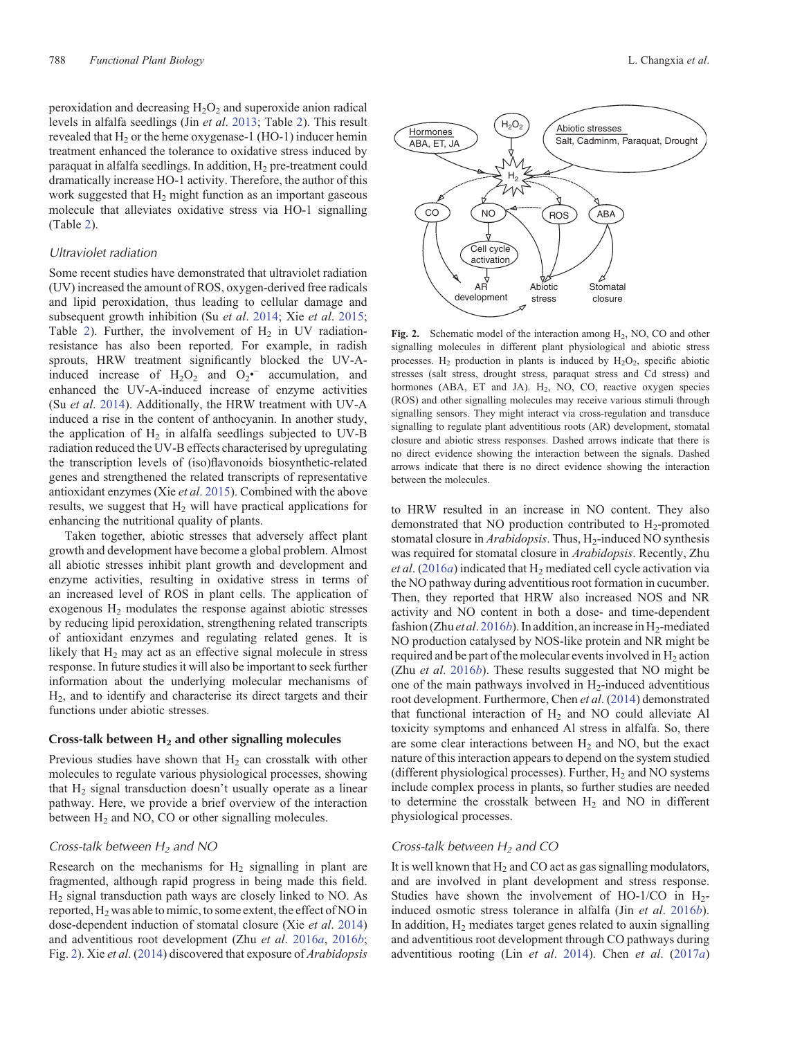<span id="page-5-0"></span>peroxidation and decreasing  $H_2O_2$  and superoxide anion radical levels in alfalfa seedlings (Jin *et al*. [2013](#page-8-0); Table [2\)](#page-4-0). This result revealed that  $H_2$  or the heme oxygenase-1 (HO-1) inducer hemin treatment enhanced the tolerance to oxidative stress induced by paraquat in alfalfa seedlings. In addition,  $H<sub>2</sub>$  pre-treatment could dramatically increase HO-1 activity. Therefore, the author of this work suggested that  $H_2$  might function as an important gaseous molecule that alleviates oxidative stress via HO-1 signalling (Table [2](#page-4-0)).

# *Ultraviolet radiation*

Some recent studies have demonstrated that ultraviolet radiation (UV) increased the amount of ROS, oxygen-derived free radicals and lipid peroxidation, thus leading to cellular damage and subsequent growth inhibition (Su *et al*. [2014](#page-8-0); Xie *et al*. [2015](#page-8-0); Table [2\)](#page-4-0). Further, the involvement of  $H_2$  in UV radiationresistance has also been reported. For example, in radish sprouts, HRW treatment significantly blocked the UV-Ainduced increase of  $H_2O_2$  and  $O_2$  accumulation, and enhanced the UV-A-induced increase of enzyme activities (Su *et al*. [2014](#page-8-0)). Additionally, the HRW treatment with UV-A induced a rise in the content of anthocyanin. In another study, the application of  $H_2$  in alfalfa seedlings subjected to UV-B radiation reduced the UV-B effects characterised by upregulating the transcription levels of (iso)flavonoids biosynthetic-related genes and strengthened the related transcripts of representative antioxidant enzymes (Xie *et al*. [2015](#page-8-0)). Combined with the above results, we suggest that  $H<sub>2</sub>$  will have practical applications for enhancing the nutritional quality of plants.

Taken together, abiotic stresses that adversely affect plant growth and development have become a global problem. Almost all abiotic stresses inhibit plant growth and development and enzyme activities, resulting in oxidative stress in terms of an increased level of ROS in plant cells. The application of exogenous H2 modulates the response against abiotic stresses by reducing lipid peroxidation, strengthening related transcripts of antioxidant enzymes and regulating related genes. It is likely that  $H_2$  may act as an effective signal molecule in stress response. In future studies it will also be important to seek further information about the underlying molecular mechanisms of H2, and to identify and characterise its direct targets and their functions under abiotic stresses.

# **Cross-talk between H2 and other signalling molecules**

Previous studies have shown that  $H_2$  can crosstalk with other molecules to regulate various physiological processes, showing that  $H_2$  signal transduction doesn't usually operate as a linear pathway. Here, we provide a brief overview of the interaction between  $H_2$  and NO, CO or other signalling molecules.

# *Cross-talk between H2 and NO*

Research on the mechanisms for  $H_2$  signalling in plant are fragmented, although rapid progress in being made this field. H2 signal transduction path ways are closely linked to NO. As reported,  $H_2$  was able to mimic, to some extent, the effect of NO in dose-dependent induction of stomatal closure (Xie *et al*. [2014\)](#page-8-0) and adventitious root development (Zhu *et al*. [2016](#page-9-0)*a*, [2016](#page-9-0)*b*; Fig. [2](#page-8-0)). Xie *et al*. [\(2014](#page-8-0)) discovered that exposure of *Arabidopsis*



Fig. 2. Schematic model of the interaction among H<sub>2</sub>, NO, CO and other signalling molecules in different plant physiological and abiotic stress processes. H<sub>2</sub> production in plants is induced by  $H_2O_2$ , specific abiotic stresses (salt stress, drought stress, paraquat stress and Cd stress) and hormones (ABA, ET and JA).  $H_2$ , NO, CO, reactive oxygen species (ROS) and other signalling molecules may receive various stimuli through signalling sensors. They might interact via cross-regulation and transduce signalling to regulate plant adventitious roots (AR) development, stomatal closure and abiotic stress responses. Dashed arrows indicate that there is no direct evidence showing the interaction between the signals. Dashed arrows indicate that there is no direct evidence showing the interaction between the molecules.

to HRW resulted in an increase in NO content. They also demonstrated that NO production contributed to  $H_2$ -promoted stomatal closure in *Arabidopsis*. Thus, H<sub>2</sub>-induced NO synthesis was required for stomatal closure in *Arabidopsis*. Recently, Zhu *et al.* ([2016](#page-9-0)*a*) indicated that H<sub>2</sub> mediated cell cycle activation via the NO pathway during adventitious root formation in cucumber. Then, they reported that HRW also increased NOS and NR activity and NO content in both a dose- and time-dependent fashion (Zhu *et al.* [2016](#page-9-0)*b*). In addition, an increase in H<sub>2</sub>-mediated NO production catalysed by NOS-like protein and NR might be required and be part of the molecular events involved in  $H_2$  action (Zhu *et al*. [2016](#page-9-0)*b*). These results suggested that NO might be one of the main pathways involved in  $H_2$ -induced adventitious root development. Furthermore, Chen *et al*. ([2014\)](#page-7-0) demonstrated that functional interaction of  $H<sub>2</sub>$  and NO could alleviate Al toxicity symptoms and enhanced Al stress in alfalfa. So, there are some clear interactions between  $H<sub>2</sub>$  and NO, but the exact nature of this interaction appears to depend on the system studied (different physiological processes). Further,  $H_2$  and NO systems include complex process in plants, so further studies are needed to determine the crosstalk between  $H_2$  and NO in different physiological processes.

# *Cross-talk between H2 and CO*

It is well known that  $H_2$  and CO act as gas signalling modulators, and are involved in plant development and stress response. Studies have shown the involvement of HO-1/CO in  $H_2$ induced osmotic stress tolerance in alfalfa (Jin *et al*. [2016](#page-8-0)*b*). In addition,  $H_2$  mediates target genes related to auxin signalling and adventitious root development through CO pathways during adventitious rooting (Lin *et al*. [2014](#page-8-0)). Chen *et al*. [\(2017](#page-7-0)*a*)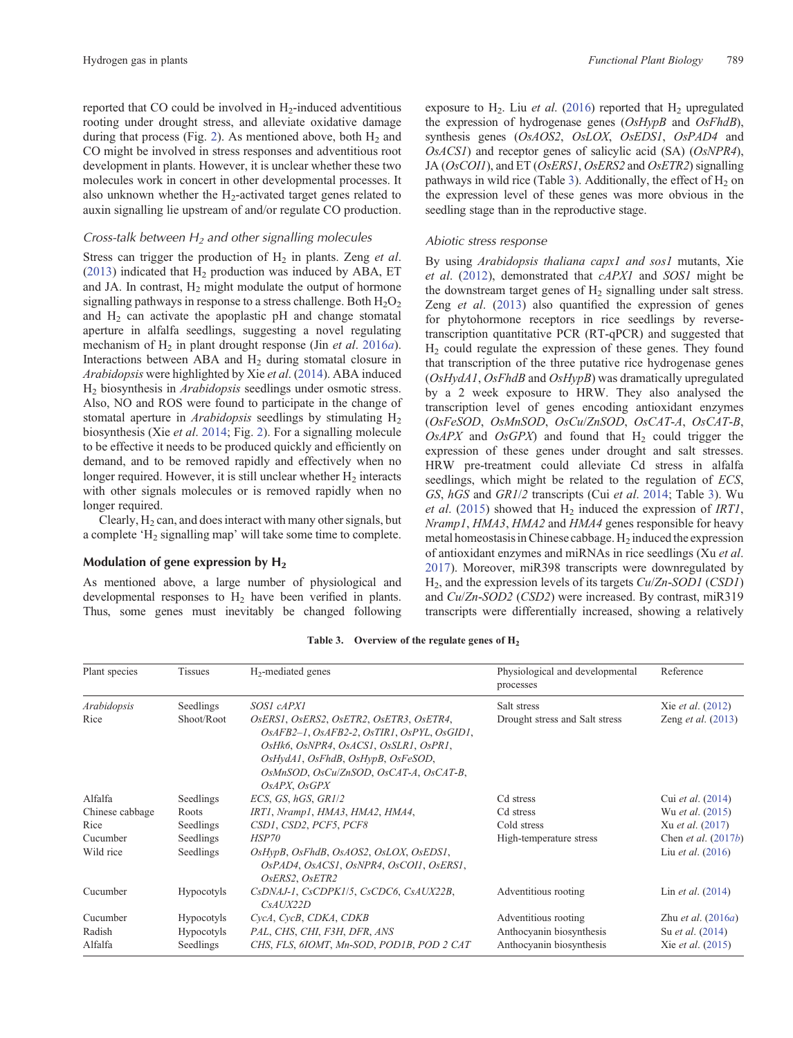<span id="page-6-0"></span>reported that CO could be involved in H<sub>2</sub>-induced adventitious rooting under drought stress, and alleviate oxidative damage during that process (Fig. [2](#page-5-0)). As mentioned above, both  $H_2$  and CO might be involved in stress responses and adventitious root development in plants. However, it is unclear whether these two molecules work in concert in other developmental processes. It also unknown whether the  $H<sub>2</sub>$ -activated target genes related to auxin signalling lie upstream of and/or regulate CO production.

### *Cross-talk between H2 and other signalling molecules*

Stress can trigger the production of H<sub>2</sub> in plants. Zeng *et al.* [\(2013](#page-9-0)) indicated that  $H_2$  production was induced by ABA, ET and JA. In contrast,  $H_2$  might modulate the output of hormone signalling pathways in response to a stress challenge. Both  $H_2O_2$ and  $H_2$  can activate the apoplastic pH and change stomatal aperture in alfalfa seedlings, suggesting a novel regulating mechanism of H<sub>2</sub> in plant drought response (Jin *et al.* [2016](#page-8-0)*a*). Interactions between ABA and  $H_2$  during stomatal closure in *Arabidopsis* were highlighted by Xie *et al*. ([2014\)](#page-8-0). ABA induced H2 biosynthesis in *Arabidopsis* seedlings under osmotic stress. Also, NO and ROS were found to participate in the change of stomatal aperture in *Arabidopsis* seedlings by stimulating H<sub>2</sub> biosynthesis (Xie *et al*. [2014;](#page-8-0) Fig. [2\)](#page-5-0). For a signalling molecule to be effective it needs to be produced quickly and efficiently on demand, and to be removed rapidly and effectively when no longer required. However, it is still unclear whether  $H_2$  interacts with other signals molecules or is removed rapidly when no longer required.

Clearly,  $H_2$  can, and does interact with many other signals, but a complete  $H_2$  signalling map' will take some time to complete.

# **Modulation of gene expression by H<sub>2</sub>**

As mentioned above, a large number of physiological and developmental responses to  $H_2$  have been verified in plants. Thus, some genes must inevitably be changed following exposure to  $H_2$ . Liu *et al.* [\(2016\)](#page-8-0) reported that  $H_2$  upregulated the expression of hydrogenase genes (*OsHypB* and *OsFhdB*), synthesis genes (*OsAOS2*, *OsLOX*, *OsEDS1*, *OsPAD4* and *OsACS1*) and receptor genes of salicylic acid (SA) (*OsNPR4*), JA (*OsCOI1*), and ET (*OsERS1*, *OsERS2* and *OsETR2*) signalling pathways in wild rice (Table 3). Additionally, the effect of  $H_2$  on the expression level of these genes was more obvious in the seedling stage than in the reproductive stage.

### *Abiotic stress response*

By using *Arabidopsis thaliana capx1 and sos1* mutants, Xie *et al*. ([2012\)](#page-8-0), demonstrated that *cAPX1* and *SOS1* might be the downstream target genes of  $H<sub>2</sub>$  signalling under salt stress. Zeng *et al*. [\(2013](#page-9-0)) also quantified the expression of genes for phytohormone receptors in rice seedlings by reversetranscription quantitative PCR (RT-qPCR) and suggested that  $H<sub>2</sub>$  could regulate the expression of these genes. They found that transcription of the three putative rice hydrogenase genes (*OsHydA1*, *OsFhdB* and *OsHypB*) was dramatically upregulated by a 2 week exposure to HRW. They also analysed the transcription level of genes encoding antioxidant enzymes (*OsFeSOD*, *OsMnSOD*, *OsCu*/*ZnSOD*, *OsCAT*-*A*, *OsCAT*-*B*,  $OsAPX$  and  $OsGPX$  and found that  $H<sub>2</sub>$  could trigger the expression of these genes under drought and salt stresses. HRW pre-treatment could alleviate Cd stress in alfalfa seedlings, which might be related to the regulation of *ECS*, *GS*, *hGS* and *GR1*/*2* transcripts (Cui *et al*. [2014](#page-8-0); Table 3). Wu *et al.* ([2015\)](#page-8-0) showed that H<sub>2</sub> induced the expression of *IRT1*, *Nramp1*, *HMA3*, *HMA2* and *HMA4* genes responsible for heavy metal homeostasis in Chinese cabbage.  $H_2$  induced the expression of antioxidant enzymes and miRNAs in rice seedlings (Xu *et al*. [2017](#page-8-0)). Moreover, miR398 transcripts were downregulated by H2, and the expression levels of its targets *Cu*/*Zn*-*SOD1* (*CSD1*) and *Cu*/*Zn*-*SOD2* (*CSD2*) were increased. By contrast, miR319 transcripts were differentially increased, showing a relatively

| <b>Tissues</b><br>Plant species |                   | $H_2$ -mediated genes                                                                                                                                                                                                         | Physiological and developmental<br>processes | Reference                   |  |
|---------------------------------|-------------------|-------------------------------------------------------------------------------------------------------------------------------------------------------------------------------------------------------------------------------|----------------------------------------------|-----------------------------|--|
| Arabidopsis                     | Seedlings         | SOS1 cAPX1                                                                                                                                                                                                                    | Salt stress                                  | Xie <i>et al.</i> (2012)    |  |
| Rice                            | Shoot/Root        | OsERS1, OsERS2, OsETR2, OsETR3, OsETR4,<br>OsAFB2-1, OsAFB2-2, OsTIR1, OsPYL, OsGID1,<br>OsHk6, OsNPR4, OsACS1, OsSLR1, OsPR1,<br>OsHydA1, OsFhdB, OsHypB, OsFeSOD,<br>OsMnSOD, OsCu/ZnSOD, OsCAT-A, OsCAT-B,<br>OsAPX, OsGPX | Drought stress and Salt stress               | Zeng <i>et al.</i> (2013)   |  |
| Alfalfa                         | Seedlings         | ECS, GS, $hGS$ , GR1/2                                                                                                                                                                                                        | Cd stress                                    | Cui et al. (2014)           |  |
| Chinese cabbage                 | Roots             | IRT1, Nramp1, HMA3, HMA2, HMA4,                                                                                                                                                                                               | Cd stress                                    | Wu et al. (2015)            |  |
| Rice                            | Seedlings         | CSD1, CSD2, PCF5, PCF8                                                                                                                                                                                                        | Cold stress                                  | Xu et al. (2017)            |  |
| Cucumber                        | Seedlings         | HSP70                                                                                                                                                                                                                         | High-temperature stress                      | Chen et al. $(2017b)$       |  |
| Wild rice                       | Seedlings         | OsHypB, OsFhdB, OsAOS2, OsLOX, OsEDS1,<br>OsPAD4, OsACS1, OsNPR4, OsCOI1, OsERS1,<br>OsERS2, OsETR2                                                                                                                           |                                              | Liu <i>et al.</i> (2016)    |  |
| Cucumber                        | Hypocotyls        | CsDNAJ-1, CsCDPK1/5, CsCDC6, CsAUX22B,<br>CsAUX22D                                                                                                                                                                            | Adventitious rooting                         | Lin <i>et al.</i> $(2014)$  |  |
| Cucumber                        | <b>Hypocotyls</b> | CycA, CycB, CDKA, CDKB                                                                                                                                                                                                        | Adventitious rooting                         | Zhu <i>et al.</i> $(2016a)$ |  |
| Radish                          | <b>Hypocotyls</b> | PAL, CHS, CHI, F3H, DFR, ANS                                                                                                                                                                                                  | Anthocyanin biosynthesis                     | Su <i>et al.</i> (2014)     |  |
| Alfalfa                         | Seedlings         | CHS, FLS, 6IOMT, Mn-SOD, POD1B, POD 2 CAT                                                                                                                                                                                     | Anthocyanin biosynthesis                     | Xie et al. (2015)           |  |

Table 3. Overview of the regulate genes of H<sub>2</sub>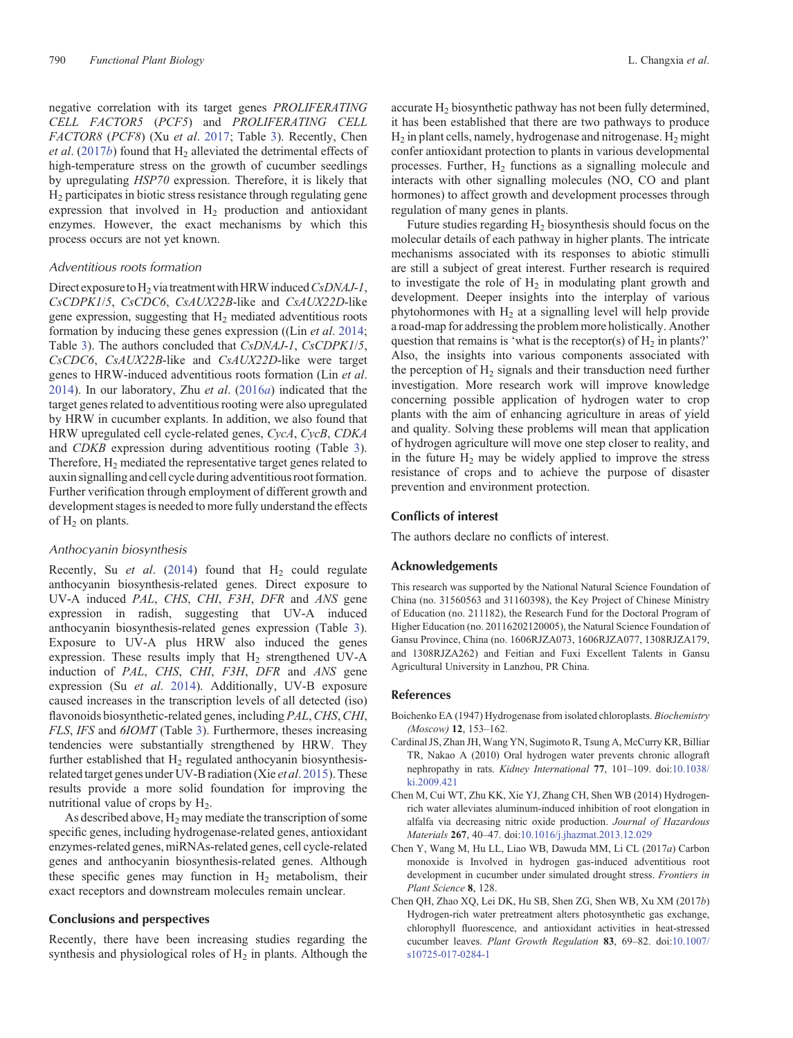<span id="page-7-0"></span>negative correlation with its target genes *PROLIFERATING CELL FACTOR5* (*PCF5*) and *PROLIFERATING CELL FACTOR8* (*PCF8*) (Xu *et al*. [2017;](#page-8-0) Table [3](#page-6-0)). Recently, Chen *et al.* (2017*b*) found that  $H_2$  alleviated the detrimental effects of high-temperature stress on the growth of cucumber seedlings by upregulating *HSP70* expression. Therefore, it is likely that H2 participates in biotic stress resistance through regulating gene expression that involved in  $H<sub>2</sub>$  production and antioxidant enzymes. However, the exact mechanisms by which this process occurs are not yet known.

### *Adventitious roots formation*

Direct exposure to H<sub>2</sub> via treatment with HRW induced *CsDNAJ-1*, *CsCDPK1*/*5*, *CsCDC6*, *CsAUX22B*-like and *CsAUX22D*-like gene expression, suggesting that  $H<sub>2</sub>$  mediated adventitious roots formation by inducing these genes expression ((Lin *et al*. [2014](#page-8-0); Table [3\)](#page-6-0). The authors concluded that *CsDNAJ*-*1*, *CsCDPK1*/*5*, *CsCDC6*, *CsAUX22B*-like and *CsAUX22D*-like were target genes to HRW-induced adventitious roots formation (Lin *et al*. [2014\)](#page-8-0). In our laboratory, Zhu *et al*. ([2016](#page-9-0)*a*) indicated that the target genes related to adventitious rooting were also upregulated by HRW in cucumber explants. In addition, we also found that HRW upregulated cell cycle-related genes, *CycA*, *CycB*, *CDKA* and *CDKB* expression during adventitious rooting (Table [3](#page-6-0)). Therefore,  $H<sub>2</sub>$  mediated the representative target genes related to auxin signalling and cell cycle during adventitious root formation. Further verification through employment of different growth and development stages is needed to more fully understand the effects of  $H_2$  on plants.

### *Anthocyanin biosynthesis*

Recently, Su  $et$  al. [\(2014](#page-8-0)) found that  $H<sub>2</sub>$  could regulate anthocyanin biosynthesis-related genes. Direct exposure to UV-A induced *PAL*, *CHS*, *CHI*, *F3H*, *DFR* and *ANS* gene expression in radish, suggesting that UV-A induced anthocyanin biosynthesis-related genes expression (Table [3](#page-6-0)). Exposure to UV-A plus HRW also induced the genes expression. These results imply that  $H_2$  strengthened UV-A induction of *PAL*, *CHS*, *CHI*, *F3H*, *DFR* and *ANS* gene expression (Su *et al*. [2014](#page-8-0)). Additionally, UV-B exposure caused increases in the transcription levels of all detected (iso) flavonoids biosynthetic-related genes, including *PAL*,*CHS*,*CHI*, *FLS*, *IFS* and *6IOMT* (Table [3\)](#page-6-0). Furthermore, theses increasing tendencies were substantially strengthened by HRW. They further established that  $H_2$  regulated anthocyanin biosynthesisrelated target genes under UV-B radiation (Xie *et al*. [2015\)](#page-8-0). These results provide a more solid foundation for improving the nutritional value of crops by  $H<sub>2</sub>$ .

As described above,  $H_2$  may mediate the transcription of some specific genes, including hydrogenase-related genes, antioxidant enzymes-related genes, miRNAs-related genes, cell cycle-related genes and anthocyanin biosynthesis-related genes. Although these specific genes may function in  $H_2$  metabolism, their exact receptors and downstream molecules remain unclear.

### **Conclusions and perspectives**

Recently, there have been increasing studies regarding the synthesis and physiological roles of  $H_2$  in plants. Although the accurate H<sub>2</sub> biosynthetic pathway has not been fully determined, it has been established that there are two pathways to produce  $H_2$  in plant cells, namely, hydrogenase and nitrogenase.  $H_2$  might confer antioxidant protection to plants in various developmental processes. Further,  $H_2$  functions as a signalling molecule and interacts with other signalling molecules (NO, CO and plant hormones) to affect growth and development processes through regulation of many genes in plants.

Future studies regarding  $H<sub>2</sub>$  biosynthesis should focus on the molecular details of each pathway in higher plants. The intricate mechanisms associated with its responses to abiotic stimulli are still a subject of great interest. Further research is required to investigate the role of  $H<sub>2</sub>$  in modulating plant growth and development. Deeper insights into the interplay of various phytohormones with  $H<sub>2</sub>$  at a signalling level will help provide a road-map for addressing the problem more holistically. Another question that remains is 'what is the receptor(s) of  $H_2$  in plants?' Also, the insights into various components associated with the perception of  $H_2$  signals and their transduction need further investigation. More research work will improve knowledge concerning possible application of hydrogen water to crop plants with the aim of enhancing agriculture in areas of yield and quality. Solving these problems will mean that application of hydrogen agriculture will move one step closer to reality, and in the future  $H_2$  may be widely applied to improve the stress resistance of crops and to achieve the purpose of disaster prevention and environment protection.

### **Conflicts of interest**

The authors declare no conflicts of interest.

#### **Acknowledgements**

This research was supported by the National Natural Science Foundation of China (no. 31560563 and 31160398), the Key Project of Chinese Ministry of Education (no. 211182), the Research Fund for the Doctoral Program of Higher Education (no. 20116202120005), the Natural Science Foundation of Gansu Province, China (no. 1606RJZA073, 1606RJZA077, 1308RJZA179, and 1308RJZA262) and Feitian and Fuxi Excellent Talents in Gansu Agricultural University in Lanzhou, PR China.

### **References**

- Boichenko EA (1947) Hydrogenase from isolated chloroplasts. *Biochemistry (Moscow)* **12**, 153–162.
- Cardinal JS, Zhan JH, Wang YN, Sugimoto R, Tsung A, McCurry KR, Billiar TR, Nakao A (2010) Oral hydrogen water prevents chronic allograft nephropathy in rats. *Kidney International* **77**, 101–109. doi:[10.1038/](dx.doi.org/10.1038/ki.2009.421) [ki.2009.421](dx.doi.org/10.1038/ki.2009.421)
- Chen M, Cui WT, Zhu KK, Xie YJ, Zhang CH, Shen WB (2014) Hydrogenrich water alleviates aluminum-induced inhibition of root elongation in alfalfa via decreasing nitric oxide production. *Journal of Hazardous Materials* **267**, 40–47. doi[:10.1016/j.jhazmat.2013.12.029](dx.doi.org/10.1016/j.jhazmat.2013.12.029)
- Chen Y, Wang M, Hu LL, Liao WB, Dawuda MM, Li CL (2017*a*) Carbon monoxide is Involved in hydrogen gas-induced adventitious root development in cucumber under simulated drought stress. *Frontiers in Plant Science* **8**, 128.
- Chen QH, Zhao XQ, Lei DK, Hu SB, Shen ZG, Shen WB, Xu XM (2017*b*) Hydrogen-rich water pretreatment alters photosynthetic gas exchange, chlorophyll fluorescence, and antioxidant activities in heat-stressed cucumber leaves. *Plant Growth Regulation* **83**, 69–82. doi:[10.1007/](dx.doi.org/10.1007/s10725-017-0284-1) [s10725-017-0284-1](dx.doi.org/10.1007/s10725-017-0284-1)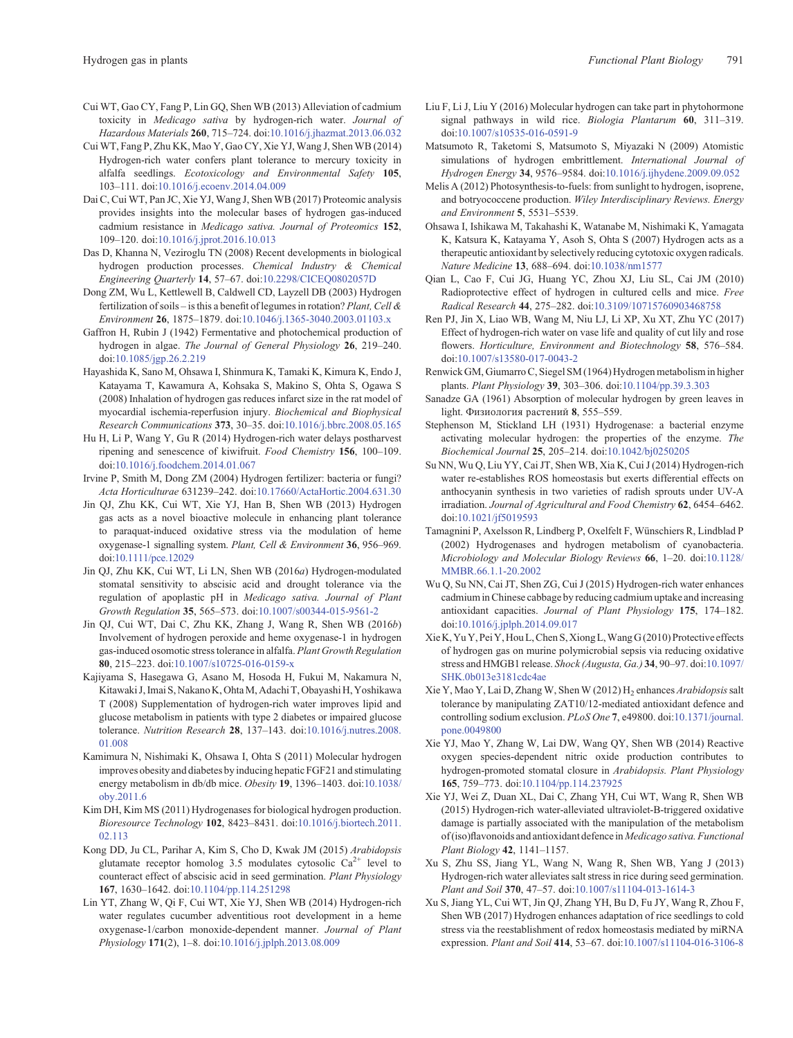- <span id="page-8-0"></span>Cui WT, Gao CY, Fang P, Lin GQ, Shen WB (2013) Alleviation of cadmium toxicity in *Medicago sativa* by hydrogen-rich water. *Journal of Hazardous Materials* **260**, 715–724. doi:[10.1016/j.jhazmat.2013.06.032](dx.doi.org/10.1016/j.jhazmat.2013.06.032)
- Cui WT, Fang P, Zhu KK, Mao Y, Gao CY, Xie YJ, Wang J, Shen WB (2014) Hydrogen-rich water confers plant tolerance to mercury toxicity in alfalfa seedlings. *Ecotoxicology and Environmental Safety* **105**, 103–111. doi:[10.1016/j.ecoenv.2014.04.009](dx.doi.org/10.1016/j.ecoenv.2014.04.009)
- Dai C, Cui WT, Pan JC, Xie YJ, Wang J, Shen WB (2017) Proteomic analysis provides insights into the molecular bases of hydrogen gas-induced cadmium resistance in *Medicago sativa. Journal of Proteomics* **152**, 109–120. doi:[10.1016/j.jprot.2016.10.013](dx.doi.org/10.1016/j.jprot.2016.10.013)
- Das D, Khanna N, Veziroglu TN (2008) Recent developments in biological hydrogen production processes. *Chemical Industry & Chemical Engineering Quarterly* **14**, 57–67. doi[:10.2298/CICEQ0802057D](dx.doi.org/10.2298/CICEQ0802057D)
- Dong ZM, Wu L, Kettlewell B, Caldwell CD, Layzell DB (2003) Hydrogen fertilization of soils – is this a benefit of legumes in rotation? *Plant, Cell & Environment* **26**, 1875–1879. doi:[10.1046/j.1365-3040.2003.01103.x](dx.doi.org/10.1046/j.1365-3040.2003.01103.x)
- Gaffron H, Rubin J (1942) Fermentative and photochemical production of hydrogen in algae. *The Journal of General Physiology* **26**, 219–240. doi:[10.1085/jgp.26.2.219](dx.doi.org/10.1085/jgp.26.2.219)
- Hayashida K, Sano M, Ohsawa I, Shinmura K, Tamaki K, Kimura K, Endo J, Katayama T, Kawamura A, Kohsaka S, Makino S, Ohta S, Ogawa S (2008) Inhalation of hydrogen gas reduces infarct size in the rat model of myocardial ischemia-reperfusion injury. *Biochemical and Biophysical Research Communications* **373**, 30–35. doi:[10.1016/j.bbrc.2008.05.165](dx.doi.org/10.1016/j.bbrc.2008.05.165)
- Hu H, Li P, Wang Y, Gu R (2014) Hydrogen-rich water delays postharvest ripening and senescence of kiwifruit. *Food Chemistry* **156**, 100–109. doi:[10.1016/j.foodchem.2014.01.067](dx.doi.org/10.1016/j.foodchem.2014.01.067)
- Irvine P, Smith M, Dong ZM (2004) Hydrogen fertilizer: bacteria or fungi? *Acta Horticulturae* 631239–242. doi:[10.17660/ActaHortic.2004.631.30](dx.doi.org/10.17660/ActaHortic.2004.631.30)
- Jin QJ, Zhu KK, Cui WT, Xie YJ, Han B, Shen WB (2013) Hydrogen gas acts as a novel bioactive molecule in enhancing plant tolerance to paraquat-induced oxidative stress via the modulation of heme oxygenase-1 signalling system. *Plant, Cell & Environment* **36**, 956–969. doi[:10.1111/pce.12029](dx.doi.org/10.1111/pce.12029)
- Jin QJ, Zhu KK, Cui WT, Li LN, Shen WB (2016*a*) Hydrogen-modulated stomatal sensitivity to abscisic acid and drought tolerance via the regulation of apoplastic pH in *Medicago sativa. Journal of Plant Growth Regulation* **35**, 565–573. doi[:10.1007/s00344-015-9561-2](dx.doi.org/10.1007/s00344-015-9561-2)
- Jin QJ, Cui WT, Dai C, Zhu KK, Zhang J, Wang R, Shen WB (2016*b*) Involvement of hydrogen peroxide and heme oxygenase-1 in hydrogen gas-induced osomotic stress tolerance in alfalfa. *Plant Growth Regulation* **80**, 215–223. doi:[10.1007/s10725-016-0159-x](dx.doi.org/10.1007/s10725-016-0159-x)
- Kajiyama S, Hasegawa G, Asano M, Hosoda H, Fukui M, Nakamura N, Kitawaki J, Imai S, Nakano K, OhtaM, Adachi T, Obayashi H, Yoshikawa T (2008) Supplementation of hydrogen-rich water improves lipid and glucose metabolism in patients with type 2 diabetes or impaired glucose tolerance. *Nutrition Research* **28**, 137–143. doi[:10.1016/j.nutres.2008.](dx.doi.org/10.1016/j.nutres.2008.01.008) [01.008](dx.doi.org/10.1016/j.nutres.2008.01.008)
- Kamimura N, Nishimaki K, Ohsawa I, Ohta S (2011) Molecular hydrogen improves obesity and diabetes by inducing hepatic FGF21 and stimulating energy metabolism in db/db mice. *Obesity* **19**, 1396–1403. doi[:10.1038/](dx.doi.org/10.1038/oby.2011.6) [oby.2011.6](dx.doi.org/10.1038/oby.2011.6)
- Kim DH, Kim MS (2011) Hydrogenases for biological hydrogen production. *Bioresource Technology* **102**, 8423–8431. doi:[10.1016/j.biortech.2011.](dx.doi.org/10.1016/j.biortech.2011.02.113) [02.113](dx.doi.org/10.1016/j.biortech.2011.02.113)
- Kong DD, Ju CL, Parihar A, Kim S, Cho D, Kwak JM (2015) *Arabidopsis* glutamate receptor homolog 3.5 modulates cytosolic  $Ca^{2+}$  level to counteract effect of abscisic acid in seed germination. *Plant Physiology* **167**, 1630–1642. doi:[10.1104/pp.114.251298](dx.doi.org/10.1104/pp.114.251298)
- Lin YT, Zhang W, Qi F, Cui WT, Xie YJ, Shen WB (2014) Hydrogen-rich water regulates cucumber adventitious root development in a heme oxygenase-1/carbon monoxide-dependent manner. *Journal of Plant Physiology* **171**(2), 1–8. doi[:10.1016/j.jplph.2013.08.009](dx.doi.org/10.1016/j.jplph.2013.08.009)
- Liu F, Li J, Liu Y (2016) Molecular hydrogen can take part in phytohormone signal pathways in wild rice. *Biologia Plantarum* **60**, 311–319. doi:[10.1007/s10535-016-0591-9](dx.doi.org/10.1007/s10535-016-0591-9)
- Matsumoto R, Taketomi S, Matsumoto S, Miyazaki N (2009) Atomistic simulations of hydrogen embrittlement. *International Journal of Hydrogen Energy* **34**, 9576–9584. doi:[10.1016/j.ijhydene.2009.09.052](dx.doi.org/10.1016/j.ijhydene.2009.09.052)
- Melis A (2012) Photosynthesis-to-fuels: from sunlight to hydrogen, isoprene, and botryococcene production. *Wiley Interdisciplinary Reviews. Energy and Environment* **5**, 5531–5539.
- Ohsawa I, Ishikawa M, Takahashi K, Watanabe M, Nishimaki K, Yamagata K, Katsura K, Katayama Y, Asoh S, Ohta S (2007) Hydrogen acts as a therapeutic antioxidant by selectively reducing cytotoxic oxygen radicals. *Nature Medicine* **13**, 688–694. doi[:10.1038/nm1577](dx.doi.org/10.1038/nm1577)
- Qian L, Cao F, Cui JG, Huang YC, Zhou XJ, Liu SL, Cai JM (2010) Radioprotective effect of hydrogen in cultured cells and mice. *Free Radical Research* **44**, 275–282. doi[:10.3109/10715760903468758](dx.doi.org/10.3109/10715760903468758)
- Ren PJ, Jin X, Liao WB, Wang M, Niu LJ, Li XP, Xu XT, Zhu YC (2017) Effect of hydrogen-rich water on vase life and quality of cut lily and rose flowers. *Horticulture, Environment and Biotechnology* **58**, 576–584. doi:[10.1007/s13580-017-0043-2](dx.doi.org/10.1007/s13580-017-0043-2)
- Renwick GM, Giumarro C, Siegel SM (1964) Hydrogen metabolism in higher plants. *Plant Physiology* **39**, 303–306. doi[:10.1104/pp.39.3.303](dx.doi.org/10.1104/pp.39.3.303)
- Sanadze GA (1961) Absorption of molecular hydrogen by green leaves in light. Физиология растений 8, 555–559.
- Stephenson M, Stickland LH (1931) Hydrogenase: a bacterial enzyme activating molecular hydrogen: the properties of the enzyme. *The Biochemical Journal* **25**, 205–214. doi[:10.1042/bj0250205](dx.doi.org/10.1042/bj0250205)
- Su NN, Wu Q, Liu YY, Cai JT, Shen WB, Xia K, Cui J (2014) Hydrogen-rich water re-establishes ROS homeostasis but exerts differential effects on anthocyanin synthesis in two varieties of radish sprouts under UV-A irradiation. *Journal of Agricultural and Food Chemistry* **62**, 6454–6462. doi:[10.1021/jf5019593](dx.doi.org/10.1021/jf5019593)
- Tamagnini P, Axelsson R, Lindberg P, Oxelfelt F, Wünschiers R, Lindblad P (2002) Hydrogenases and hydrogen metabolism of cyanobacteria. *Microbiology and Molecular Biology Reviews* **66**, 1–20. doi:[10.1128/](dx.doi.org/10.1128/MMBR.66.1.1-20.2002) [MMBR.66.1.1-20.2002](dx.doi.org/10.1128/MMBR.66.1.1-20.2002)
- Wu Q, Su NN, Cai JT, Shen ZG, Cui J (2015) Hydrogen-rich water enhances cadmium in Chinese cabbage by reducing cadmium uptake and increasing antioxidant capacities. *Journal of Plant Physiology* **175**, 174–182. doi:[10.1016/j.jplph.2014.09.017](dx.doi.org/10.1016/j.jplph.2014.09.017)
- Xie K, Yu Y, Pei Y, Hou L,Chen S, Xiong L,Wang G (2010) Protective effects of hydrogen gas on murine polymicrobial sepsis via reducing oxidative stress and HMGB1 release. *Shock (Augusta, Ga.)* **34**, 90–97. doi:[10.1097/](dx.doi.org/10.1097/SHK.0b013e3181cdc4ae) [SHK.0b013e3181cdc4ae](dx.doi.org/10.1097/SHK.0b013e3181cdc4ae)
- Xie Y, Mao Y, Lai D, Zhang W, Shen W (2012) H<sub>2</sub> enhances *Arabidopsis* salt tolerance by manipulating ZAT10/12-mediated antioxidant defence and controlling sodium exclusion. *PLoS One* **7**, e49800. doi[:10.1371/journal.](dx.doi.org/10.1371/journal.pone.0049800) [pone.0049800](dx.doi.org/10.1371/journal.pone.0049800)
- Xie YJ, Mao Y, Zhang W, Lai DW, Wang QY, Shen WB (2014) Reactive oxygen species-dependent nitric oxide production contributes to hydrogen-promoted stomatal closure in *Arabidopsis. Plant Physiology* **165**, 759–773. doi:[10.1104/pp.114.237925](dx.doi.org/10.1104/pp.114.237925)
- Xie YJ, Wei Z, Duan XL, Dai C, Zhang YH, Cui WT, Wang R, Shen WB (2015) Hydrogen-rich water-alleviated ultraviolet-B-triggered oxidative damage is partially associated with the manipulation of the metabolism of (iso)flavonoids and antioxidant defencein *Medicago sativa. Functional Plant Biology* **42**, 1141–1157.
- Xu S, Zhu SS, Jiang YL, Wang N, Wang R, Shen WB, Yang J (2013) Hydrogen-rich water alleviates salt stress in rice during seed germination. *Plant and Soil* **370**, 47–57. doi:[10.1007/s11104-013-1614-3](dx.doi.org/10.1007/s11104-013-1614-3)
- Xu S, Jiang YL, Cui WT, Jin QJ, Zhang YH, Bu D, Fu JY, Wang R, Zhou F, Shen WB (2017) Hydrogen enhances adaptation of rice seedlings to cold stress via the reestablishment of redox homeostasis mediated by miRNA expression. *Plant and Soil* **414**, 53–67. doi[:10.1007/s11104-016-3106-8](dx.doi.org/10.1007/s11104-016-3106-8)